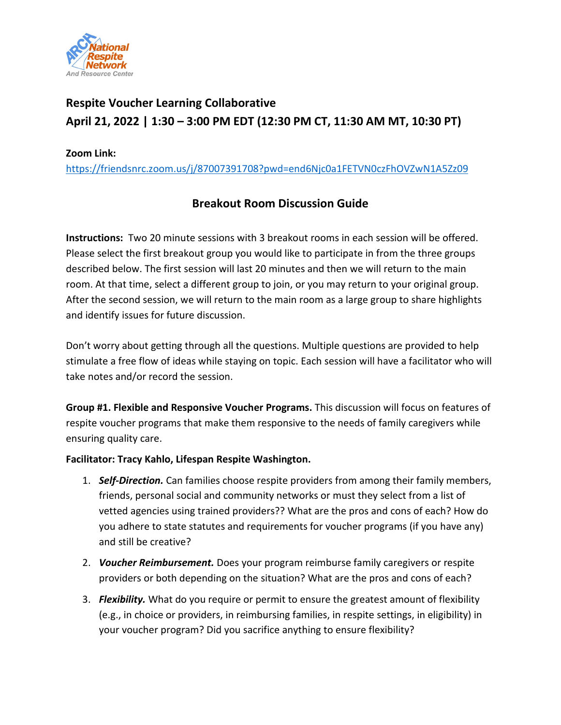

# **Respite Voucher Learning Collaborative April 21, 2022 | 1:30 – 3:00 PM EDT (12:30 PM CT, 11:30 AM MT, 10:30 PT)**

#### **Zoom Link:**

<https://friendsnrc.zoom.us/j/87007391708?pwd=end6Njc0a1FETVN0czFhOVZwN1A5Zz09>

# **Breakout Room Discussion Guide**

**Instructions:** Two 20 minute sessions with 3 breakout rooms in each session will be offered. Please select the first breakout group you would like to participate in from the three groups described below. The first session will last 20 minutes and then we will return to the main room. At that time, select a different group to join, or you may return to your original group. After the second session, we will return to the main room as a large group to share highlights and identify issues for future discussion.

Don't worry about getting through all the questions. Multiple questions are provided to help stimulate a free flow of ideas while staying on topic. Each session will have a facilitator who will take notes and/or record the session.

**Group #1. Flexible and Responsive Voucher Programs.** This discussion will focus on features of respite voucher programs that make them responsive to the needs of family caregivers while ensuring quality care.

#### **Facilitator: Tracy Kahlo, Lifespan Respite Washington.**

- 1. *Self-Direction.* Can families choose respite providers from among their family members, friends, personal social and community networks or must they select from a list of vetted agencies using trained providers?? What are the pros and cons of each? How do you adhere to state statutes and requirements for voucher programs (if you have any) and still be creative?
- 2. *Voucher Reimbursement.* Does your program reimburse family caregivers or respite providers or both depending on the situation? What are the pros and cons of each?
- 3. *Flexibility.* What do you require or permit to ensure the greatest amount of flexibility (e.g., in choice or providers, in reimbursing families, in respite settings, in eligibility) in your voucher program? Did you sacrifice anything to ensure flexibility?